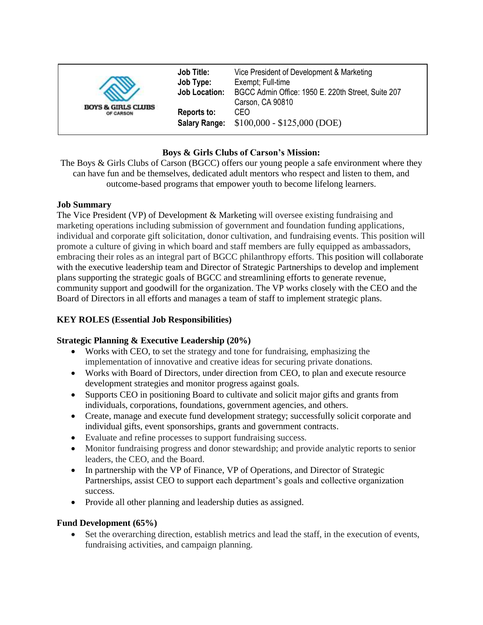| <b>BOYS &amp; GIRLS CLUBS</b><br>OF CARSON | <b>Job Title:</b><br>Job Type:<br><b>Job Location:</b> | Vice President of Development & Marketing<br>Exempt; Full-time<br>BGCC Admin Office: 1950 E. 220th Street, Suite 207<br>Carson, CA 90810<br>CEO<br>$$100,000 - $125,000 (DOE)$ |
|--------------------------------------------|--------------------------------------------------------|--------------------------------------------------------------------------------------------------------------------------------------------------------------------------------|
|                                            | Reports to:<br><b>Salary Range:</b>                    |                                                                                                                                                                                |

# **Boys & Girls Clubs of Carson's Mission:**

The Boys & Girls Clubs of Carson (BGCC) offers our young people a safe environment where they can have fun and be themselves, dedicated adult mentors who respect and listen to them, and outcome-based programs that empower youth to become lifelong learners.

### **Job Summary**

The Vice President (VP) of Development & Marketing will oversee existing fundraising and marketing operations including submission of government and foundation funding applications, individual and corporate gift solicitation, donor cultivation, and fundraising events. This position will promote a culture of giving in which board and staff members are fully equipped as ambassadors, embracing their roles as an integral part of BGCC philanthropy efforts. This position will collaborate with the executive leadership team and Director of Strategic Partnerships to develop and implement plans supporting the strategic goals of BGCC and streamlining efforts to generate revenue, community support and goodwill for the organization. The VP works closely with the CEO and the Board of Directors in all efforts and manages a team of staff to implement strategic plans.

# **KEY ROLES (Essential Job Responsibilities)**

# **Strategic Planning & Executive Leadership (20%)**

- Works with CEO, to set the strategy and tone for fundraising, emphasizing the implementation of innovative and creative ideas for securing private donations.
- Works with Board of Directors, under direction from CEO, to plan and execute resource development strategies and monitor progress against goals.
- Supports CEO in positioning Board to cultivate and solicit major gifts and grants from individuals, corporations, foundations, government agencies, and others.
- Create, manage and execute fund development strategy; successfully solicit corporate and individual gifts, event sponsorships, grants and government contracts.
- Evaluate and refine processes to support fundraising success.
- Monitor fundraising progress and donor stewardship; and provide analytic reports to senior leaders, the CEO, and the Board.
- In partnership with the VP of Finance, VP of Operations, and Director of Strategic Partnerships, assist CEO to support each department's goals and collective organization success.
- Provide all other planning and leadership duties as assigned.

# **Fund Development (65%)**

 Set the overarching direction, establish metrics and lead the staff, in the execution of events, fundraising activities, and campaign planning.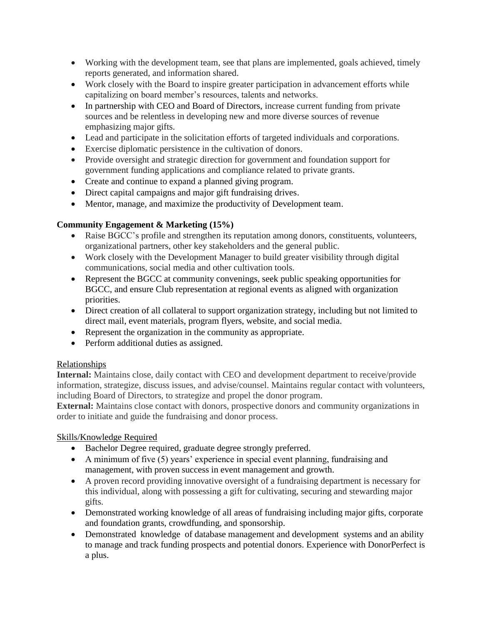- Working with the development team, see that plans are implemented, goals achieved, timely reports generated, and information shared.
- Work closely with the Board to inspire greater participation in advancement efforts while capitalizing on board member's resources, talents and networks.
- In partnership with CEO and Board of Directors, increase current funding from private sources and be relentless in developing new and more diverse sources of revenue emphasizing major gifts.
- Lead and participate in the solicitation efforts of targeted individuals and corporations.
- Exercise diplomatic persistence in the cultivation of donors.
- Provide oversight and strategic direction for government and foundation support for government funding applications and compliance related to private grants.
- Create and continue to expand a planned giving program.
- Direct capital campaigns and major gift fundraising drives.
- Mentor, manage, and maximize the productivity of Development team.

### **Community Engagement & Marketing (15%)**

- Raise BGCC's profile and strengthen its reputation among donors, constituents, volunteers, organizational partners, other key stakeholders and the general public.
- Work closely with the Development Manager to build greater visibility through digital communications, social media and other cultivation tools.
- Represent the BGCC at community convenings, seek public speaking opportunities for BGCC, and ensure Club representation at regional events as aligned with organization priorities.
- Direct creation of all collateral to support organization strategy, including but not limited to direct mail, event materials, program flyers, website, and social media.
- Represent the organization in the community as appropriate.
- Perform additional duties as assigned.

#### Relationships

**Internal:** Maintains close, daily contact with CEO and development department to receive/provide information, strategize, discuss issues, and advise/counsel. Maintains regular contact with volunteers, including Board of Directors, to strategize and propel the donor program.

**External:** Maintains close contact with donors, prospective donors and community organizations in order to initiate and guide the fundraising and donor process.

#### Skills/Knowledge Required

- Bachelor Degree required, graduate degree strongly preferred.
- A minimum of five (5) years' experience in special event planning, fundraising and management, with proven success in event management and growth.
- A proven record providing innovative oversight of a fundraising department is necessary for this individual, along with possessing a gift for cultivating, securing and stewarding major gifts.
- Demonstrated working knowledge of all areas of fundraising including major gifts, corporate and foundation grants, crowdfunding, and sponsorship.
- Demonstrated knowledge of database management and development systems and an ability to manage and track funding prospects and potential donors. Experience with DonorPerfect is a plus.